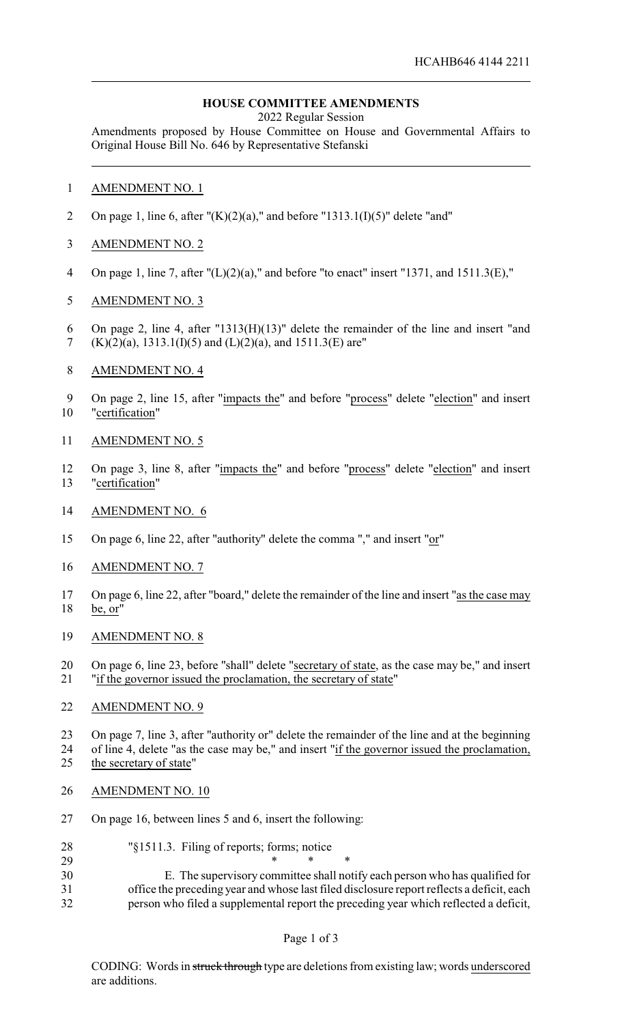# **HOUSE COMMITTEE AMENDMENTS**

2022 Regular Session

Amendments proposed by House Committee on House and Governmental Affairs to Original House Bill No. 646 by Representative Stefanski

- AMENDMENT NO. 1
- 2 On page 1, line 6, after " $(K)(2)(a)$ ," and before "1313.1(I)(5)" delete "and"
- AMENDMENT NO. 2
- On page 1, line 7, after "(L)(2)(a)," and before "to enact" insert "1371, and 1511.3(E),"
- AMENDMENT NO. 3
- On page 2, line 4, after "1313(H)(13)" delete the remainder of the line and insert "and (K)(2)(a), 1313.1(I)(5) and (L)(2)(a), and 1511.3(E) are"
- AMENDMENT NO. 4
- On page 2, line 15, after "impacts the" and before "process" delete "election" and insert "certification"
- AMENDMENT NO. 5
- On page 3, line 8, after "impacts the" and before "process" delete "election" and insert "certification"
- AMENDMENT NO. 6
- On page 6, line 22, after "authority" delete the comma "," and insert "or"
- AMENDMENT NO. 7
- On page 6, line 22, after "board," delete the remainder of the line and insert "as the case may be, or"
- AMENDMENT NO. 8
- On page 6, line 23, before "shall" delete "secretary of state, as the case may be," and insert "if the governor issued the proclamation, the secretary of state"

#### AMENDMENT NO. 9

 On page 7, line 3, after "authority or" delete the remainder of the line and at the beginning of line 4, delete "as the case may be," and insert "if the governor issued the proclamation, 25 the secretary of state"

- AMENDMENT NO. 10
- On page 16, between lines 5 and 6, insert the following:
- "§1511.3. Filing of reports; forms; notice
- \* \* \* E. The supervisory committee shall notify each person who has qualified for office the preceding year and whose last filed disclosure report reflects a deficit, each person who filed a supplemental report the preceding year which reflected a deficit,

# Page 1 of 3

CODING: Words in struck through type are deletions from existing law; words underscored are additions.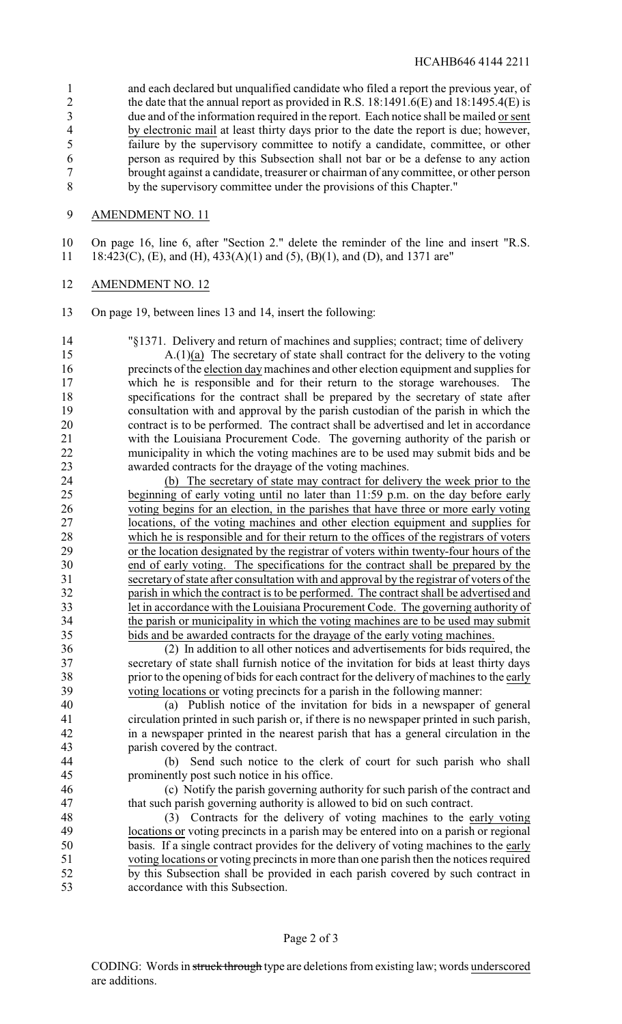and each declared but unqualified candidate who filed a report the previous year, of 2 the date that the annual report as provided in R.S. 18:1491.6(E) and 18:1495.4(E) is due and of the information required in the report. Each notice shall be mailed or sent by electronic mail at least thirty days prior to the date the report is due; however, failure by the supervisory committee to notify a candidate, committee, or other person as required by this Subsection shall not bar or be a defense to any action brought against a candidate, treasurer or chairman of any committee, or other person by the supervisory committee under the provisions of this Chapter."

# AMENDMENT NO. 11

 On page 16, line 6, after "Section 2." delete the reminder of the line and insert "R.S. 18:423(C), (E), and (H), 433(A)(1) and (5), (B)(1), and (D), and 1371 are"

### AMENDMENT NO. 12

On page 19, between lines 13 and 14, insert the following:

"§1371. Delivery and return of machines and supplies; contract; time of delivery

 A.(1)(a) The secretary of state shall contract for the delivery to the voting precincts of the election daymachines and other election equipment and supplies for which he is responsible and for their return to the storage warehouses. The specifications for the contract shall be prepared by the secretary of state after 19 consultation with and approval by the parish custodian of the parish in which the contract is to be performed. The contract shall be advertised and let in accordance contract is to be performed. The contract shall be advertised and let in accordance with the Louisiana Procurement Code. The governing authority of the parish or municipality in which the voting machines are to be used may submit bids and be awarded contracts for the drayage of the voting machines.

 (b) The secretary of state may contract for delivery the week prior to the beginning of early voting until no later than 11:59 p.m. on the day before early voting begins for an election, in the parishes that have three or more early voting locations, of the voting machines and other election equipment and supplies for which he is responsible and for their return to the offices of the registrars of voters 29 or the location designated by the registrar of voters within twenty-four hours of the end of early voting. The specifications for the contract shall be prepared by the end of early voting. The specifications for the contract shall be prepared by the secretary of state after consultation with and approval by the registrar of voters of the parish in which the contract is to be performed. The contract shall be advertised and let in accordance with the Louisiana Procurement Code. The governing authority of the parish or municipality in which the voting machines are to be used may submit bids and be awarded contracts for the drayage of the early voting machines.

 (2) In addition to all other notices and advertisements for bids required, the secretary of state shall furnish notice of the invitation for bids at least thirty days prior to the opening of bids for each contract for the delivery of machines to the early voting locations or voting precincts for a parish in the following manner:

 (a) Publish notice of the invitation for bids in a newspaper of general circulation printed in such parish or, if there is no newspaper printed in such parish, in a newspaper printed in the nearest parish that has a general circulation in the parish covered by the contract.

 (b) Send such notice to the clerk of court for such parish who shall prominently post such notice in his office.

 (c) Notify the parish governing authority for such parish of the contract and that such parish governing authority is allowed to bid on such contract.

 (3) Contracts for the delivery of voting machines to the early voting locations or voting precincts in a parish may be entered into on a parish or regional basis. If a single contract provides for the delivery of voting machines to the early voting locations or voting precincts in more than one parish then the notices required by this Subsection shall be provided in each parish covered by such contract in accordance with this Subsection.